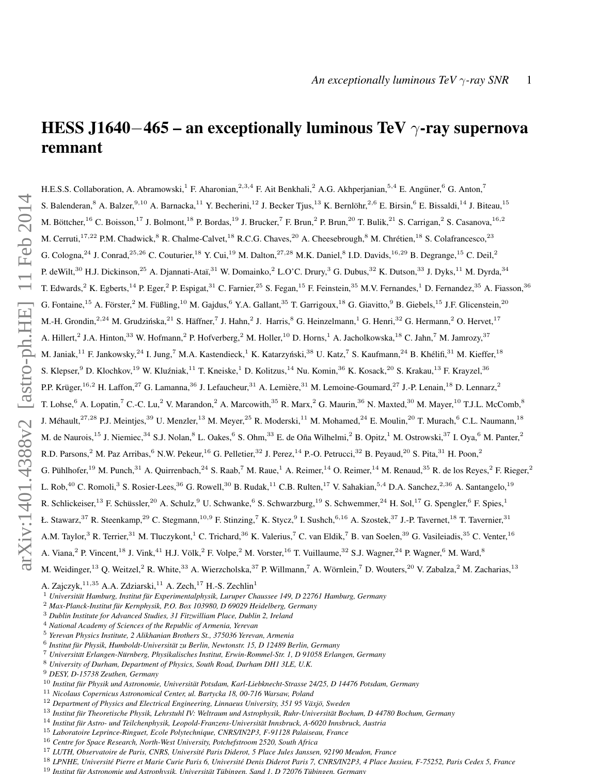# <span id="page-0-1"></span>HESS J1640−465 – an exceptionally luminous TeV  $\gamma$ -ray supernova remnant

H.E.S.S. Collaboration, A. Abramowski,<sup>1</sup> F. Aharonian,<sup>2,3,4</sup> F. Ait Benkhali,<sup>2</sup> A.G. Akhperjanian,<sup>5,4</sup> E. Angüner,<sup>6</sup> G. Anton,<sup>7</sup> S. Balenderan,  $8$  A. Balzer,  $9,10$  A. Barnacka,  $^{11}$  Y. Becherini,  $^{12}$  J. Becker Tjus,  $^{13}$  K. Bernlöhr,  $^{2,6}$  E. Birsin,  $^{6}$  E. Bissaldi,  $^{14}$  J. Biteau,  $^{15}$ M. Böttcher, <sup>16</sup> C. Boisson, <sup>17</sup> J. Bolmont, <sup>18</sup> P. Bordas, <sup>19</sup> J. Brucker, <sup>7</sup> F. Brun, <sup>2</sup> P. Brun, <sup>20</sup> T. Bulik, <sup>21</sup> S. Carrigan, <sup>2</sup> S. Casanova, <sup>16, 2</sup> M. Cerruti,<sup>17,22</sup> P.M. Chadwick,<sup>8</sup> R. Chalme-Calvet,<sup>18</sup> R.C.G. Chaves,<sup>20</sup> A. Cheesebrough,<sup>8</sup> M. Chrétien,<sup>18</sup> S. Colafrancesco,<sup>23</sup> G. Cologna,  $^{24}$  J. Conrad,  $^{25,26}$  C. Couturier,  $^{18}$  Y. Cui,  $^{19}$  M. Dalton,  $^{27,28}$  M.K. Daniel,  $^{8}$  I.D. Davids,  $^{16,29}$  B. Degrange,  $^{15}$  C. Deil,  $^{2}$ P. deWilt,<sup>30</sup> H.J. Dickinson,<sup>25</sup> A. Djannati-Ataï,<sup>31</sup> W. Domainko,<sup>2</sup> L.O'C. Drury,<sup>3</sup> G. Dubus,<sup>32</sup> K. Dutson,<sup>33</sup> J. Dyks,<sup>11</sup> M. Dyrda,<sup>34</sup> T. Edwards,<sup>2</sup> K. Egberts,<sup>14</sup> P. Eger,<sup>2</sup> P. Espigat,<sup>31</sup> C. Farnier,<sup>25</sup> S. Fegan,<sup>15</sup> F. Feinstein,<sup>35</sup> M.V. Fernandes,<sup>1</sup> D. Fernandez,<sup>35</sup> A. Fiasson,<sup>36</sup> G. Fontaine,<sup>15</sup> A. Förster,<sup>2</sup> M. Füßling,<sup>10</sup> M. Gajdus,<sup>6</sup> Y.A. Gallant,<sup>35</sup> T. Garrigoux,<sup>18</sup> G. Giavitto,<sup>9</sup> B. Giebels,<sup>15</sup> J.F. Glicenstein,<sup>20</sup> M.-H. Grondin,<sup>2,24</sup> M. Grudzińska,<sup>21</sup> S. Häffner,<sup>7</sup> J. Hahn,<sup>2</sup> J. Harris,<sup>8</sup> G. Heinzelmann,<sup>1</sup> G. Henri,<sup>32</sup> G. Hermann,<sup>2</sup> O. Hervet,<sup>17</sup> A. Hillert,<sup>2</sup> J.A. Hinton,<sup>33</sup> W. Hofmann,<sup>2</sup> P. Hofverberg,<sup>2</sup> M. Holler,<sup>10</sup> D. Horns,<sup>1</sup> A. Jacholkowska,<sup>18</sup> C. Jahn,<sup>7</sup> M. Jamrozy,<sup>37</sup> M. Janiak, $^{11}$  F. Jankowsky, $^{24}$  I. Jung, $^7$  M.A. Kastendieck, $^1$  K. Katarzyński, $^{38}$  U. Katz, $^7$  S. Kaufmann, $^{24}$  B. Khélifi, $^{31}$  M. Kieffer, $^{18}$ S. Klepser, $^9$  D. Klochkov, $^{19}$  W. Kluźniak, $^{11}$  T. Kneiske, $^1$  D. Kolitzus, $^{14}$  Nu. Komin, $^{36}$  K. Kosack, $^{20}$  S. Krakau, $^{13}$  F. Krayzel, $^{36}$ P.P. Krüger,<sup>16,2</sup> H. Laffon,<sup>27</sup> G. Lamanna,<sup>36</sup> J. Lefaucheur,<sup>31</sup> A. Lemière,<sup>31</sup> M. Lemoine-Goumard,<sup>27</sup> J.-P. Lenain,<sup>18</sup> D. Lennarz,<sup>2</sup> T. Lohse,<sup>6</sup> A. Lopatin,<sup>7</sup> C.-C. Lu,<sup>2</sup> V. Marandon,<sup>2</sup> A. Marcowith,<sup>35</sup> R. Marx,<sup>2</sup> G. Maurin,<sup>36</sup> N. Maxted,<sup>30</sup> M. Mayer,<sup>10</sup> T.J.L. McComb,<sup>8</sup> J. Méhault, <sup>27,28</sup> P.J. Meintjes, <sup>39</sup> U. Menzler, <sup>13</sup> M. Meyer, <sup>25</sup> R. Moderski, <sup>11</sup> M. Mohamed, <sup>24</sup> E. Moulin, <sup>20</sup> T. Murach, <sup>6</sup> C.L. Naumann, <sup>18</sup> M. de Naurois,  $^{15}$  J. Niemiec,  $^{34}$  S.J. Nolan,  $^{8}$  L. Oakes,  $^{6}$  S. Ohm,  $^{33}$  E. de Oña Wilhelmi,  $^{2}$  B. Opitz,  $^{1}$  M. Ostrowski,  $^{37}$  I. Oya,  $^{6}$  M. Panter,  $^{2}$ R.D. Parsons,<sup>2</sup> M. Paz Arribas,<sup>6</sup> N.W. Pekeur,<sup>16</sup> G. Pelletier,<sup>32</sup> J. Perez,<sup>14</sup> P.-O. Petrucci,<sup>32</sup> B. Peyaud,<sup>20</sup> S. Pita,<sup>31</sup> H. Poon,<sup>2</sup> G. Pühlhofer,  $^{19}$  M. Punch,  $^{31}$  A. Quirrenbach,  $^{24}$  S. Raab,  $^7$  M. Raue,  $^1$  A. Reimer,  $^{14}$  O. Reimer,  $^{14}$  M. Renaud,  $^{35}$  R. de los Reyes,  $^2$  F. Rieger,  $^2$ L. Rob,<sup>40</sup> C. Romoli,<sup>3</sup> S. Rosier-Lees,<sup>36</sup> G. Rowell,<sup>30</sup> B. Rudak,<sup>11</sup> C.B. Rulten,<sup>17</sup> V. Sahakian,<sup>5,4</sup> D.A. Sanchez,<sup>2,36</sup> A. Santangelo,<sup>19</sup> R. Schlickeiser,<sup>13</sup> F. Schüssler,<sup>20</sup> A. Schulz,<sup>9</sup> U. Schwanke,<sup>6</sup> S. Schwarzburg,<sup>19</sup> S. Schwemmer,<sup>24</sup> H. Sol,<sup>17</sup> G. Spengler,<sup>6</sup> F. Spies,<sup>1</sup> Ł. Stawarz,<sup>37</sup> R. Steenkamp,<sup>29</sup> C. Stegmann,<sup>10,9</sup> F. Stinzing,<sup>7</sup> K. Stycz,<sup>9</sup> I. Sushch,<sup>6,16</sup> A. Szostek,<sup>37</sup> J.-P. Tavernet,<sup>18</sup> T. Tavernier,<sup>31</sup> A.M. Taylor,<sup>3</sup> R. Terrier,<sup>31</sup> M. Tluczykont,<sup>1</sup> C. Trichard,<sup>36</sup> K. Valerius,<sup>7</sup> C. van Eldik,<sup>7</sup> B. van Soelen,<sup>39</sup> G. Vasileiadis,<sup>35</sup> C. Venter,<sup>16</sup> A. Viana, <sup>2</sup> P. Vincent, <sup>18</sup> J. Vink, <sup>41</sup> H.J. Völk, <sup>2</sup> F. Volpe, <sup>2</sup> M. Vorster, <sup>16</sup> T. Vuillaume, <sup>32</sup> S.J. Wagner, <sup>24</sup> P. Wagner, <sup>6</sup> M. Ward, <sup>8</sup> M. Weidinger,  $^{13}$  Q. Weitzel,  $^2$  R. White,  $^{33}$  A. Wierzcholska,  $^{37}$  P. Willmann,  $^7$  A. Wörnlein,  $^7$  D. Wouters,  $^{20}$  V. Zabalza,  $^2$  M. Zacharias,  $^{13}$ A. Zajczyk,  $11,35$  A.A. Zdziarski,  $11$  A. Zech,  $17$  H.-S. Zechlin<sup>1</sup>

<sup>4</sup> *National Academy of Sciences of the Republic of Armenia, Yerevan*

<sup>&</sup>lt;sup>1</sup> Universität Hamburg, Institut für Experimentalphysik, Luruper Chaussee 149, D 22761 Hamburg, Germany

<sup>&</sup>lt;sup>2</sup> Max-Planck-Institut für Kernphysik, P.O. Box 103980, D 69029 Heidelberg, Germany

<sup>3</sup> *Dublin Institute for Advanced Studies, 31 Fitzwilliam Place, Dublin 2, Ireland*

<sup>5</sup> *Yerevan Physics Institute, 2 Alikhanian Brothers St., 375036 Yerevan, Armenia*

<sup>6</sup> *Institut fur Physik, Humboldt-Universit ¨ at zu Berlin, Newtonstr. 15, D 12489 Berlin, Germany ¨*

<sup>7</sup> *Universitat Erlangen-N ¨ urnberg, Physikalisches Institut, Erwin-Rommel-Str. 1, D 91058 Erlangen, Germany ¨*

<sup>8</sup> *University of Durham, Department of Physics, South Road, Durham DH1 3LE, U.K.*

<sup>9</sup> *DESY, D-15738 Zeuthen, Germany*

<sup>&</sup>lt;sup>10</sup> Institut für Physik und Astronomie, Universität Potsdam, Karl-Liebknecht-Strasse 24/25, D 14476 Potsdam, Germany

<sup>11</sup> *Nicolaus Copernicus Astronomical Center, ul. Bartycka 18, 00-716 Warsaw, Poland*

<sup>&</sup>lt;sup>12</sup> Department of Physics and Electrical Engineering, Linnaeus University, 351 95 Växjö, Sweden

<sup>&</sup>lt;sup>13</sup> Institut für Theoretische Physik, Lehrstuhl IV: Weltraum und Astrophysik, Ruhr-Universität Bochum, D 44780 Bochum, Germany

<sup>&</sup>lt;sup>14</sup> Institut für Astro- und Teilchenphysik, Leopold-Franzens-Universität Innsbruck, A-6020 Innsbruck, Austria

<sup>15</sup> *Laboratoire Leprince-Ringuet, Ecole Polytechnique, CNRS/IN2P3, F-91128 Palaiseau, France*

<sup>16</sup> *Centre for Space Research, North-West University, Potchefstroom 2520, South Africa*

<sup>17</sup> *LUTH, Observatoire de Paris, CNRS, Universite Paris Diderot, 5 Place Jules Janssen, 92190 Meudon, France ´*

<sup>&</sup>lt;sup>18</sup> LPNHE, Université Pierre et Marie Curie Paris 6, Université Denis Diderot Paris 7, CNRS/IN2P3, 4 Place Jussieu, F-75252, Paris Cedex 5, France

<span id="page-0-0"></span><sup>19</sup> *Institut fur Astronomie und Astrophysik, Universit ¨ at T ¨ ubingen, Sand 1, D 72076 T ¨ ubingen, Germany ¨*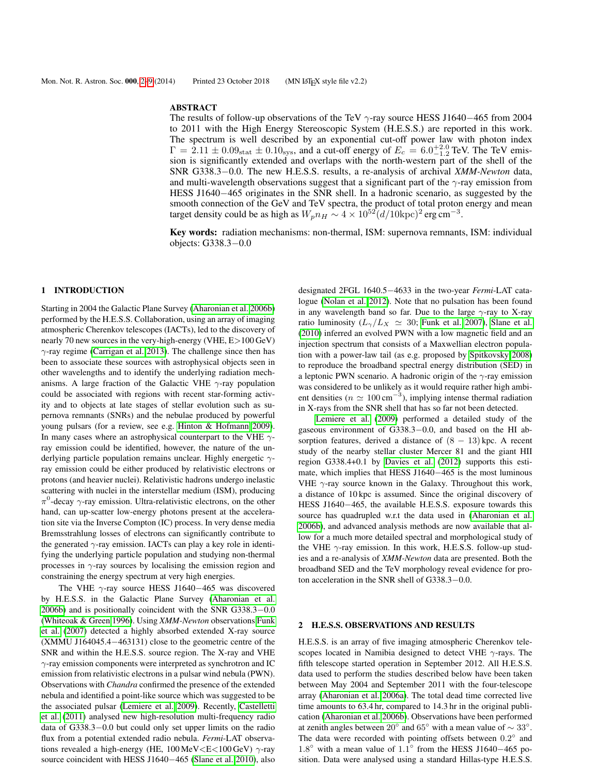#### ABSTRACT

The results of follow-up observations of the TeV  $\gamma$ -ray source HESS J1640−465 from 2004 to 2011 with the High Energy Stereoscopic System (H.E.S.S.) are reported in this work. The spectrum is well described by an exponential cut-off power law with photon index  $\Gamma = 2.11 \pm 0.09_{\text{stat}} \pm 0.10_{\text{sys}}$ , and a cut-off energy of  $E_c = 6.0_{-1.2}^{+2.0}$  TeV. The TeV emission is significantly extended and overlaps with the north-western part of the shell of the SNR G338.3−0.0. The new H.E.S.S. results, a re-analysis of archival *XMM-Newton* data, and multi-wavelength observations suggest that a significant part of the  $\gamma$ -ray emission from HESS J1640−465 originates in the SNR shell. In a hadronic scenario, as suggested by the smooth connection of the GeV and TeV spectra, the product of total proton energy and mean target density could be as high as  $W_p n_H \sim 4 \times 10^{52} (d/10 \text{kpc})^2 \text{ erg cm}^{-3}$ .

Key words: radiation mechanisms: non-thermal, ISM: supernova remnants, ISM: individual objects: G338.3−0.0

# 1 INTRODUCTION

Starting in 2004 the Galactic Plane Survey [\(Aharonian et al. 2006b\)](#page-7-0) performed by the H.E.S.S. Collaboration, using an array of imaging atmospheric Cherenkov telescopes (IACTs), led to the discovery of nearly 70 new sources in the very-high-energy (VHE, E>100 GeV)  $\gamma$ -ray regime [\(Carrigan et al. 2013\)](#page-7-1). The challenge since then has been to associate these sources with astrophysical objects seen in other wavelengths and to identify the underlying radiation mechanisms. A large fraction of the Galactic VHE  $\gamma$ -ray population could be associated with regions with recent star-forming activity and to objects at late stages of stellar evolution such as supernova remnants (SNRs) and the nebulae produced by powerful young pulsars (for a review, see e.g. [Hinton & Hofmann 2009\)](#page-7-2). In many cases where an astrophysical counterpart to the VHE  $\gamma$ ray emission could be identified, however, the nature of the underlying particle population remains unclear. Highly energetic  $\gamma$ ray emission could be either produced by relativistic electrons or protons (and heavier nuclei). Relativistic hadrons undergo inelastic scattering with nuclei in the interstellar medium (ISM), producing  $\pi^0$ -decay  $\gamma$ -ray emission. Ultra-relativistic electrons, on the other hand, can up-scatter low-energy photons present at the acceleration site via the Inverse Compton (IC) process. In very dense media Bremsstrahlung losses of electrons can significantly contribute to the generated  $\gamma$ -ray emission. IACTs can play a key role in identifying the underlying particle population and studying non-thermal processes in  $\gamma$ -ray sources by localising the emission region and constraining the energy spectrum at very high energies.

The VHE  $\gamma$ -ray source HESS J1640–465 was discovered by H.E.S.S. in the Galactic Plane Survey [\(Aharonian et al.](#page-7-0) [2006b\)](#page-7-0) and is positionally coincident with the SNR G338.3−0.0 [\(Whiteoak & Green 1996\)](#page-8-0). Using *XMM-Newton* observations [Funk](#page-7-3) [et al.](#page-7-3) [\(2007\)](#page-7-3) detected a highly absorbed extended X-ray source (XMMU J164045.4−463131) close to the geometric centre of the SNR and within the H.E.S.S. source region. The X-ray and VHE  $\gamma$ -ray emission components were interpreted as synchrotron and IC emission from relativistic electrons in a pulsar wind nebula (PWN). Observations with *Chandra* confirmed the presence of the extended nebula and identified a point-like source which was suggested to be the associated pulsar [\(Lemiere et al. 2009\)](#page-7-4). Recently, [Castelletti](#page-7-5) [et al.](#page-7-5) [\(2011\)](#page-7-5) analysed new high-resolution multi-frequency radio data of G338.3−0.0 but could only set upper limits on the radio flux from a potential extended radio nebula. *Fermi*-LAT observations revealed a high-energy (HE,  $100 \text{ MeV} < E < 100 \text{ GeV}$ )  $\gamma$ -ray source coincident with HESS J1640−465 [\(Slane et al. 2010\)](#page-8-1), also

designated 2FGL 1640.5−4633 in the two-year *Fermi*-LAT catalogue [\(Nolan et al. 2012\)](#page-8-2). Note that no pulsation has been found in any wavelength band so far. Due to the large  $\gamma$ -ray to X-ray ratio luminosity ( $L_{\gamma}/L_X \simeq 30$ ; [Funk et al. 2007\)](#page-7-3), [Slane et al.](#page-8-1) [\(2010\)](#page-8-1) inferred an evolved PWN with a low magnetic field and an injection spectrum that consists of a Maxwellian electron population with a power-law tail (as e.g. proposed by [Spitkovsky 2008\)](#page-8-3) to reproduce the broadband spectral energy distribution (SED) in a leptonic PWN scenario. A hadronic origin of the  $\gamma$ -ray emission was considered to be unlikely as it would require rather high ambient densities ( $n \simeq 100 \text{ cm}^{-3}$ ), implying intense thermal radiation in X-rays from the SNR shell that has so far not been detected.

[Lemiere et al.](#page-7-4) [\(2009\)](#page-7-4) performed a detailed study of the gaseous environment of G338.3−0.0, and based on the HI absorption features, derived a distance of  $(8 - 13)$  kpc. A recent study of the nearby stellar cluster Mercer 81 and the giant HII region G338.4+0.1 by [Davies et al.](#page-7-6) [\(2012\)](#page-7-6) supports this estimate, which implies that HESS J1640−465 is the most luminous VHE  $\gamma$ -ray source known in the Galaxy. Throughout this work, a distance of 10 kpc is assumed. Since the original discovery of HESS J1640−465, the available H.E.S.S. exposure towards this source has quadrupled w.r.t the data used in [\(Aharonian et al.](#page-7-0) [2006b\)](#page-7-0), and advanced analysis methods are now available that allow for a much more detailed spectral and morphological study of the VHE  $\gamma$ -ray emission. In this work, H.E.S.S. follow-up studies and a re-analysis of *XMM-Newton* data are presented. Both the broadband SED and the TeV morphology reveal evidence for proton acceleration in the SNR shell of G338.3−0.0.

#### 2 H.E.S.S. OBSERVATIONS AND RESULTS

H.E.S.S. is an array of five imaging atmospheric Cherenkov telescopes located in Namibia designed to detect VHE  $\gamma$ -rays. The fifth telescope started operation in September 2012. All H.E.S.S. data used to perform the studies described below have been taken between May 2004 and September 2011 with the four-telescope array [\(Aharonian et al. 2006a\)](#page-7-7). The total dead time corrected live time amounts to 63.4 hr, compared to 14.3 hr in the original publication [\(Aharonian et al. 2006b\)](#page-7-0). Observations have been performed at zenith angles between 20° and 65° with a mean value of  $\sim 33^{\circ}$ . The data were recorded with pointing offsets between  $0.2^{\circ}$  and 1.8° with a mean value of 1.1° from the HESS J1640−465 position. Data were analysed using a standard Hillas-type H.E.S.S.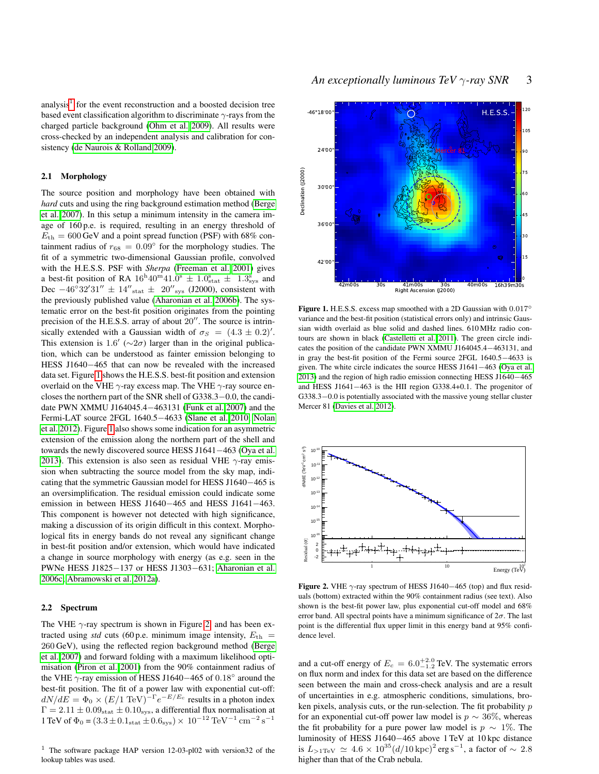analysis<sup>[1](#page-2-0)</sup> for the event reconstruction and a boosted decision tree based event classification algorithm to discriminate  $\gamma$ -rays from the charged particle background [\(Ohm et al. 2009\)](#page-8-4). All results were cross-checked by an independent analysis and calibration for consistency [\(de Naurois & Rolland 2009\)](#page-7-8).

# 2.1 Morphology

The source position and morphology have been obtained with *hard* cuts and using the ring background estimation method [\(Berge](#page-7-9) [et al. 2007\)](#page-7-9). In this setup a minimum intensity in the camera image of 160 p.e. is required, resulting in an energy threshold of  $E_{\text{th}} = 600 \,\text{GeV}$  and a point spread function (PSF) with 68% containment radius of  $r_{68} = 0.09^{\circ}$  for the morphology studies. The fit of a symmetric two-dimensional Gaussian profile, convolved with the H.E.S.S. PSF with *Sherpa* [\(Freeman et al. 2001\)](#page-7-10) gives a best-fit position of RA  $16^{\text{h}}40^{\text{m}}41.0^{\text{s}} \pm 1.0_{\text{stat}}^{\text{s}} \pm 1.3_{\text{sys}}^{\text{s}}$  and Dec  $-46^{\circ}32'31'' \pm 14''_{\text{stat}} \pm 20''_{\text{sys}}$  (J2000), consistent with the previously published value [\(Aharonian et al. 2006b\)](#page-7-0). The systematic error on the best-fit position originates from the pointing precision of the H.E.S.S. array of about  $20''$ . The source is intrinsically extended with a Gaussian width of  $\sigma_S = (4.3 \pm 0.2)^T$ . This extension is 1.6' ( $\sim$ 2 $\sigma$ ) larger than in the original publication, which can be understood as fainter emission belonging to HESS J1640−465 that can now be revealed with the increased data set. Figure [1](#page-2-1) shows the H.E.S.S. best-fit position and extension overlaid on the VHE  $\gamma$ -ray excess map. The VHE  $\gamma$ -ray source encloses the northern part of the SNR shell of G338.3−0.0, the candidate PWN XMMU J164045.4−463131 [\(Funk et al. 2007\)](#page-7-3) and the Fermi-LAT source 2FGL 1640.5−4633 [\(Slane et al. 2010;](#page-8-1) [Nolan](#page-8-2) [et al. 2012\)](#page-8-2). Figure [1](#page-2-1) also shows some indication for an asymmetric extension of the emission along the northern part of the shell and towards the newly discovered source HESS J1641−463 [\(Oya et al.](#page-8-5) [2013\)](#page-8-5). This extension is also seen as residual VHE  $\gamma$ -ray emission when subtracting the source model from the sky map, indicating that the symmetric Gaussian model for HESS J1640−465 is an oversimplification. The residual emission could indicate some emission in between HESS J1640−465 and HESS J1641−463. This component is however not detected with high significance, making a discussion of its origin difficult in this context. Morphological fits in energy bands do not reveal any significant change in best-fit position and/or extension, which would have indicated a change in source morphology with energy (as e.g. seen in the PWNe HESS J1825−137 or HESS J1303−631; [Aharonian et al.](#page-7-11) [2006c;](#page-7-11) [Abramowski et al. 2012a\)](#page-7-12).

# <span id="page-2-3"></span>2.2 Spectrum

The VHE  $\gamma$ -ray spectrum is shown in Figure [2,](#page-2-2) and has been extracted using *std* cuts (60 p.e. minimum image intensity,  $E_{\text{th}} =$ 260 GeV), using the reflected region background method [\(Berge](#page-7-9) [et al. 2007\)](#page-7-9) and forward folding with a maximum likelihood optimisation [\(Piron et al. 2001\)](#page-8-6) from the 90% containment radius of the VHE  $\gamma$ -ray emission of HESS J1640–465 of 0.18 $^{\circ}$  around the best-fit position. The fit of a power law with exponential cut-off:  $dN/dE = \Phi_0 \times (E/1 \text{ TeV})^{-\Gamma} e^{-E/E_c}$  results in a photon index  $\Gamma = 2.11 \pm 0.09<sub>stat</sub> \pm 0.10<sub>sys</sub>$ , a differential flux normalisation at 1 TeV of  $\Phi_0 = (3.3 \pm 0.1_{\text{stat}} \pm 0.6_{\text{sys}}) \times 10^{-12} \text{ TeV}^{-1} \text{ cm}^{-2} \text{ s}^{-1}$ 

<span id="page-2-0"></span><sup>1</sup> The software package HAP version 12-03-pl02 with version32 of the lookup tables was used.



<span id="page-2-1"></span>Figure 1. H.E.S.S. excess map smoothed with a 2D Gaussian with 0.017° variance and the best-fit position (statistical errors only) and intrinsic Gaussian width overlaid as blue solid and dashed lines. 610 MHz radio contours are shown in black [\(Castelletti et al. 2011\)](#page-7-5). The green circle indicates the position of the candidate PWN XMMU J164045.4−463131, and in gray the best-fit position of the Fermi source 2FGL 1640.5−4633 is given. The white circle indicates the source HESS J1641−463 [\(Oya et al.](#page-8-5) [2013\)](#page-8-5) and the region of high radio emission connecting HESS J1640−465 and HESS J1641−463 is the HII region G338.4+0.1. The progenitor of G338.3-0.0 is potentially associated with the massive young stellar cluster Mercer 81 [\(Davies et al. 2012\)](#page-7-6).



<span id="page-2-2"></span>Figure 2. VHE  $\gamma$ -ray spectrum of HESS J1640–465 (top) and flux residuals (bottom) extracted within the 90% containment radius (see text). Also shown is the best-fit power law, plus exponential cut-off model and 68% error band. All spectral points have a minimum significance of  $2\sigma$ . The last point is the differential flux upper limit in this energy band at 95% confidence level.

and a cut-off energy of  $E_c = 6.0^{+2.0}_{-1.2}$  TeV. The systematic errors on flux norm and index for this data set are based on the difference seen between the main and cross-check analysis and are a result of uncertainties in e.g. atmospheric conditions, simulations, broken pixels, analysis cuts, or the run-selection. The fit probability p for an exponential cut-off power law model is  $p \sim 36\%$ , whereas the fit probability for a pure power law model is  $p \sim 1\%$ . The luminosity of HESS J1640−465 above 1 TeV at 10 kpc distance is  $L_{>1\text{TeV}} \simeq 4.6 \times 10^{35} (d/10 \,\text{kpc})^2 \,\text{erg s}^{-1}$ , a factor of ∼ 2.8 higher than that of the Crab nebula.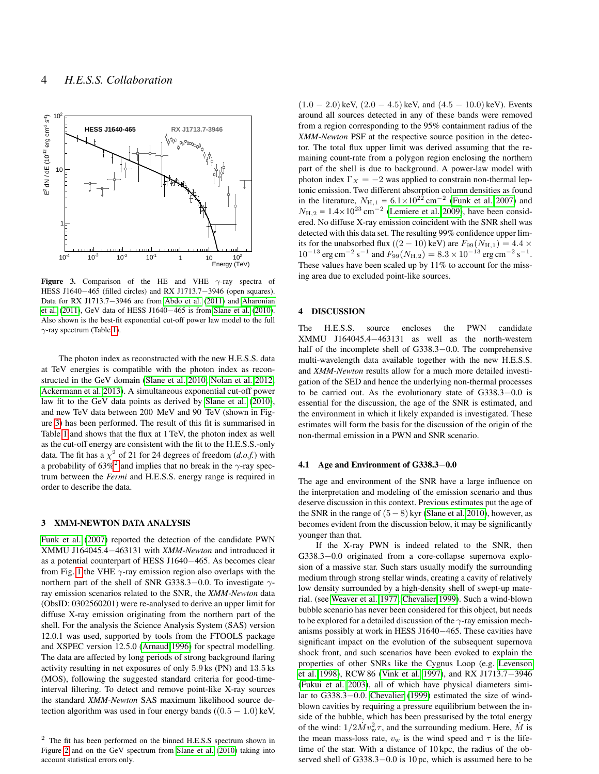

<span id="page-3-0"></span>Figure 3. Comparison of the HE and VHE  $\gamma$ -ray spectra of HESS J1640−465 (filled circles) and RX J1713.7−3946 (open squares). Data for RX J1713.7−3946 are from [Abdo et al.](#page-7-13) [\(2011\)](#page-7-13) and [Aharonian](#page-7-14) [et al.](#page-7-14) [\(2011\)](#page-7-14), GeV data of HESS J1640−465 is from [Slane et al.](#page-8-1) [\(2010\)](#page-8-1). Also shown is the best-fit exponential cut-off power law model to the full  $\gamma$ -ray spectrum (Table [1\)](#page-4-0).

The photon index as reconstructed with the new H.E.S.S. data at TeV energies is compatible with the photon index as reconstructed in the GeV domain [\(Slane et al. 2010;](#page-8-1) [Nolan et al. 2012;](#page-8-2) [Ackermann et al. 2013\)](#page-7-15). A simultaneous exponential cut-off power law fit to the GeV data points as derived by [Slane et al.](#page-8-1) [\(2010\)](#page-8-1), and new TeV data between 200 MeV and 90 TeV (shown in Figure [3\)](#page-3-0) has been performed. The result of this fit is summarised in Table [1](#page-4-0) and shows that the flux at 1 TeV, the photon index as well as the cut-off energy are consistent with the fit to the H.E.S.S.-only data. The fit has a  $\chi^2$  of 21 for 24 degrees of freedom  $(d.o.f.)$  with a probability of 63%<sup>[2](#page-3-1)</sup> and implies that no break in the  $\gamma$ -ray spectrum between the *Fermi* and H.E.S.S. energy range is required in order to describe the data.

#### 3 XMM-NEWTON DATA ANALYSIS

[Funk et al.](#page-7-3) [\(2007\)](#page-7-3) reported the detection of the candidate PWN XMMU J164045.4−463131 with *XMM-Newton* and introduced it as a potential counterpart of HESS J1640−465. As becomes clear from Fig. [1](#page-2-1) the VHE  $\gamma$ -ray emission region also overlaps with the northern part of the shell of SNR G338.3–0.0. To investigate  $\gamma$ ray emission scenarios related to the SNR, the *XMM-Newton* data (ObsID: 0302560201) were re-analysed to derive an upper limit for diffuse X-ray emission originating from the northern part of the shell. For the analysis the Science Analysis System (SAS) version 12.0.1 was used, supported by tools from the FTOOLS package and XSPEC version 12.5.0 [\(Arnaud 1996\)](#page-7-16) for spectral modelling. The data are affected by long periods of strong background flaring activity resulting in net exposures of only 5.9 ks (PN) and 13.5 ks (MOS), following the suggested standard criteria for good-timeinterval filtering. To detect and remove point-like X-ray sources the standard *XMM-Newton* SAS maximum likelihood source detection algorithm was used in four energy bands  $((0.5 - 1.0)$  keV,

 $(1.0 - 2.0)$  keV,  $(2.0 - 4.5)$  keV, and  $(4.5 - 10.0)$  keV). Events around all sources detected in any of these bands were removed from a region corresponding to the 95% containment radius of the *XMM-Newton* PSF at the respective source position in the detector. The total flux upper limit was derived assuming that the remaining count-rate from a polygon region enclosing the northern part of the shell is due to background. A power-law model with photon index  $\Gamma_X = -2$  was applied to constrain non-thermal leptonic emission. Two different absorption column densities as found in the literature,  $N_{\text{H},1} = 6.1 \times 10^{22} \text{ cm}^{-2}$  [\(Funk et al. 2007\)](#page-7-3) and  $N_{\text{H},2} = 1.4 \times 10^{23} \text{ cm}^{-2}$  [\(Lemiere et al. 2009\)](#page-7-4), have been considered. No diffuse X-ray emission coincident with the SNR shell was detected with this data set. The resulting 99% confidence upper limits for the unabsorbed flux ((2 – 10) keV) are  $F_{99}(N_{\rm H,1}) = 4.4 \times$  $10^{-13}$  erg cm<sup>-2</sup> s<sup>-1</sup> and  $F_{99}(N_{\rm H,2}) = 8.3 \times 10^{-13}$  erg cm<sup>-2</sup> s<sup>-1</sup>. These values have been scaled up by 11% to account for the missing area due to excluded point-like sources.

#### 4 DISCUSSION

The H.E.S.S. source encloses the PWN candidate XMMU J164045.4−463131 as well as the north-western half of the incomplete shell of G338.3−0.0. The comprehensive multi-wavelength data available together with the new H.E.S.S. and *XMM-Newton* results allow for a much more detailed investigation of the SED and hence the underlying non-thermal processes to be carried out. As the evolutionary state of G338.3−0.0 is essential for the discussion, the age of the SNR is estimated, and the environment in which it likely expanded is investigated. These estimates will form the basis for the discussion of the origin of the non-thermal emission in a PWN and SNR scenario.

#### <span id="page-3-2"></span>4.1 Age and Environment of G338.3−0.0

The age and environment of the SNR have a large influence on the interpretation and modeling of the emission scenario and thus deserve discussion in this context. Previous estimates put the age of the SNR in the range of  $(5-8)$  kyr [\(Slane et al. 2010\)](#page-8-1), however, as becomes evident from the discussion below, it may be significantly younger than that.

If the X-ray PWN is indeed related to the SNR, then G338.3−0.0 originated from a core-collapse supernova explosion of a massive star. Such stars usually modify the surrounding medium through strong stellar winds, creating a cavity of relatively low density surrounded by a high-density shell of swept-up material. (see [Weaver et al. 1977;](#page-8-7) [Chevalier 1999\)](#page-7-17). Such a wind-blown bubble scenario has never been considered for this object, but needs to be explored for a detailed discussion of the  $\gamma$ -ray emission mechanisms possibly at work in HESS J1640−465. These cavities have significant impact on the evolution of the subsequent supernova shock front, and such scenarios have been evoked to explain the properties of other SNRs like the Cygnus Loop (e.g. [Levenson](#page-8-8) [et al. 1998\)](#page-8-8), RCW 86 [\(Vink et al. 1997\)](#page-8-9), and RX J1713.7−3946 [\(Fukui et al. 2003\)](#page-7-18), all of which have physical diameters similar to G338.3−0.0. [Chevalier](#page-7-17) [\(1999\)](#page-7-17) estimated the size of windblown cavities by requiring a pressure equilibrium between the inside of the bubble, which has been pressurised by the total energy of the wind:  $1/2\dot{M}v_{\rm w}^2\tau$ , and the surrounding medium. Here,  $\dot{M}$  is the mean mass-loss rate,  $v_w$  is the wind speed and  $\tau$  is the lifetime of the star. With a distance of 10 kpc, the radius of the observed shell of G338.3–0.0 is 10 pc, which is assumed here to be

<span id="page-3-1"></span><sup>2</sup> The fit has been performed on the binned H.E.S.S spectrum shown in Figure [2](#page-2-2) and on the GeV spectrum from [Slane et al.](#page-8-1) [\(2010\)](#page-8-1) taking into account statistical errors only.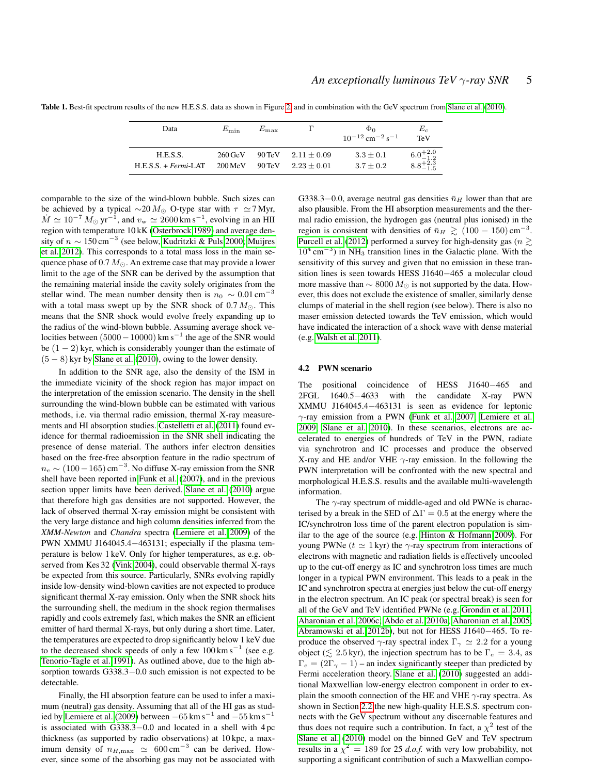| Data                                 | $E_{\min}$                                   | $E_{\rm max}$       |                                       | $\Phi$ <sup>0</sup><br>$10^{-12}$ cm <sup>-2</sup> s <sup>-1</sup> | $E_c$<br><b>TeV</b>                        |
|--------------------------------------|----------------------------------------------|---------------------|---------------------------------------|--------------------------------------------------------------------|--------------------------------------------|
| H.E.S.S.<br>$H.E.S.S. + Fermi-I. AT$ | $260 \,\mathrm{GeV}$<br>$200 \,\mathrm{MeV}$ | $90 \,\mathrm{TeV}$ | 90 TeV $2.11 + 0.09$<br>$2.23 + 0.01$ | $3.3 \pm 0.1$<br>$3.7 \pm 0.2$                                     | $6.0^{+2.0}_{-1.2}$<br>$8.8^{+2.3}_{-1.5}$ |

<span id="page-4-0"></span>Table 1. Best-fit spectrum results of the new H.E.S.S. data as shown in Figure [2,](#page-2-2) and in combination with the GeV spectrum from [Slane et al.](#page-8-1) [\(2010\)](#page-8-1).

comparable to the size of the wind-blown bubble. Such sizes can be achieved by a typical  $\sim$ 20 M<sub>☉</sub> O-type star with  $\tau \simeq$  7 Myr,  $\dot{M} \simeq 10^{-7} M_{\odot} \,\text{yr}^{-1}$ , and  $v_{\text{w}} \simeq 2600 \,\text{km s}^{-1}$ , evolving in an HII region with temperature 10 kK [\(Osterbrock 1989\)](#page-8-10) and average density of  $n \sim 150 \text{ cm}^{-3}$  (see below, [Kudritzki & Puls 2000;](#page-7-19) [Muijres](#page-8-11) [et al. 2012\)](#page-8-11). This corresponds to a total mass loss in the main sequence phase of  $0.7 M_{\odot}$ . An extreme case that may provide a lower limit to the age of the SNR can be derived by the assumption that the remaining material inside the cavity solely originates from the stellar wind. The mean number density then is  $n_0 \sim 0.01 \text{ cm}^{-3}$ with a total mass swept up by the SNR shock of  $0.7 M_{\odot}$ . This means that the SNR shock would evolve freely expanding up to the radius of the wind-blown bubble. Assuming average shock velocities between  $(5000 - 10000)$  km s<sup>-1</sup> the age of the SNR would be  $(1 - 2)$  kyr, which is considerably younger than the estimate of  $(5 - 8)$  kyr by [Slane et al.](#page-8-1) [\(2010\)](#page-8-1), owing to the lower density.

In addition to the SNR age, also the density of the ISM in the immediate vicinity of the shock region has major impact on the interpretation of the emission scenario. The density in the shell surrounding the wind-blown bubble can be estimated with various methods, i.e. via thermal radio emission, thermal X-ray measurements and HI absorption studies. [Castelletti et al.](#page-7-5) [\(2011\)](#page-7-5) found evidence for thermal radioemission in the SNR shell indicating the presence of dense material. The authors infer electron densities based on the free-free absorption feature in the radio spectrum of  $n_e \sim (100 - 165) \text{ cm}^{-3}$ . No diffuse X-ray emission from the SNR shell have been reported in [Funk et al.](#page-7-3) [\(2007\)](#page-7-3), and in the previous section upper limits have been derived. [Slane et al.](#page-8-1) [\(2010\)](#page-8-1) argue that therefore high gas densities are not supported. However, the lack of observed thermal X-ray emission might be consistent with the very large distance and high column densities inferred from the *XMM-Newton* and *Chandra* spectra [\(Lemiere et al. 2009\)](#page-7-4) of the PWN XMMU J164045.4−463131; especially if the plasma temperature is below 1 keV. Only for higher temperatures, as e.g. observed from Kes 32 [\(Vink 2004\)](#page-8-12), could observable thermal X-rays be expected from this source. Particularly, SNRs evolving rapidly inside low-density wind-blown cavities are not expected to produce significant thermal X-ray emission. Only when the SNR shock hits the surrounding shell, the medium in the shock region thermalises rapidly and cools extremely fast, which makes the SNR an efficient emitter of hard thermal X-rays, but only during a short time. Later, the temperatures are expected to drop significantly below 1 keV due to the decreased shock speeds of only a few  $100 \text{ km s}^{-1}$  (see e.g. [Tenorio-Tagle et al. 1991\)](#page-8-13). As outlined above, due to the high absorption towards G338.3−0.0 such emission is not expected to be detectable.

Finally, the HI absorption feature can be used to infer a maximum (neutral) gas density. Assuming that all of the HI gas as stud-ied by [Lemiere et al.](#page-7-4) [\(2009\)](#page-7-4) between  $-65$  km s<sup>-1</sup> and  $-55$  km s<sup>-1</sup> is associated with G338.3−0.0 and located in a shell with 4 pc thickness (as supported by radio observations) at 10 kpc, a maximum density of  $n_{H,\text{max}} \simeq 600 \text{ cm}^{-3}$  can be derived. However, since some of the absorbing gas may not be associated with

G338.3–0.0, average neutral gas densities  $\bar{n}_H$  lower than that are also plausible. From the HI absorption measurements and the thermal radio emission, the hydrogen gas (neutral plus ionised) in the region is consistent with densities of  $\bar{n}_H \gtrsim (100 - 150) \text{ cm}^{-3}$ . [Purcell et al.](#page-8-14) [\(2012\)](#page-8-14) performed a survey for high-density gas ( $n \gtrsim$  $10^4$  cm<sup>-3</sup>) in NH<sub>3</sub> transition lines in the Galactic plane. With the sensitivity of this survey and given that no emission in these transition lines is seen towards HESS J1640−465 a molecular cloud more massive than  $\sim 8000 M_{\odot}$  is not supported by the data. However, this does not exclude the existence of smaller, similarly dense clumps of material in the shell region (see below). There is also no maser emission detected towards the TeV emission, which would have indicated the interaction of a shock wave with dense material (e.g. [Walsh et al. 2011\)](#page-8-15).

#### 4.2 PWN scenario

The positional coincidence of HESS J1640−465 and 2FGL 1640.5−4633 with the candidate X-ray PWN XMMU J164045.4−463131 is seen as evidence for leptonic γ-ray emission from a PWN [\(Funk et al. 2007;](#page-7-3) [Lemiere et al.](#page-7-4) [2009;](#page-7-4) [Slane et al. 2010\)](#page-8-1). In these scenarios, electrons are accelerated to energies of hundreds of TeV in the PWN, radiate via synchrotron and IC processes and produce the observed X-ray and HE and/or VHE  $\gamma$ -ray emission. In the following the PWN interpretation will be confronted with the new spectral and morphological H.E.S.S. results and the available multi-wavelength information.

The  $\gamma$ -ray spectrum of middle-aged and old PWNe is characterised by a break in the SED of  $\Delta\Gamma = 0.5$  at the energy where the IC/synchrotron loss time of the parent electron population is similar to the age of the source (e.g. [Hinton & Hofmann 2009\)](#page-7-2). For young PWNe ( $t \approx 1$  kyr) the  $\gamma$ -ray spectrum from interactions of electrons with magnetic and radiation fields is effectively uncooled up to the cut-off energy as IC and synchrotron loss times are much longer in a typical PWN environment. This leads to a peak in the IC and synchrotron spectra at energies just below the cut-off energy in the electron spectrum. An IC peak (or spectral break) is seen for all of the GeV and TeV identified PWNe (e.g. [Grondin et al. 2011;](#page-7-20) [Aharonian et al. 2006c;](#page-7-11) [Abdo et al. 2010a;](#page-7-21) [Aharonian et al. 2005;](#page-7-22) [Abramowski et al. 2012b\)](#page-7-23), but not for HESS J1640−465. To reproduce the observed  $\gamma$ -ray spectral index  $\Gamma_{\gamma} \simeq 2.2$  for a young object ( $\leq 2.5$  kyr), the injection spectrum has to be  $\Gamma_e = 3.4$ , as  $\Gamma_e = (2\Gamma_\gamma - 1)$  – an index significantly steeper than predicted by Fermi acceleration theory. [Slane et al.](#page-8-1) [\(2010\)](#page-8-1) suggested an additional Maxwellian low-energy electron component in order to explain the smooth connection of the HE and VHE  $\gamma$ -ray spectra. As shown in Section [2.2](#page-2-3) the new high-quality H.E.S.S. spectrum connects with the GeV spectrum without any discernable features and thus does not require such a contribution. In fact, a  $\chi^2$  test of the [Slane et al.](#page-8-1) [\(2010\)](#page-8-1) model on the binned GeV and TeV spectrum results in a  $\chi^2 = 189$  for 25 *d.o.f.* with very low probability, not supporting a significant contribution of such a Maxwellian compo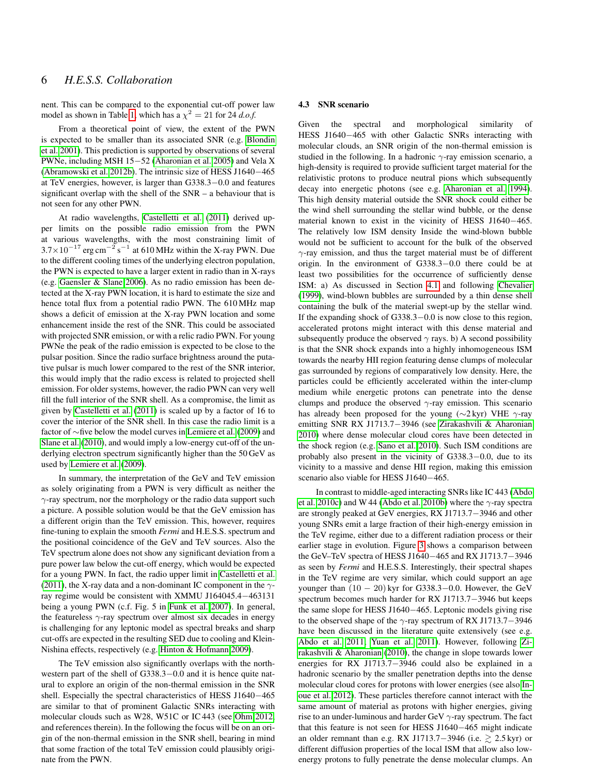nent. This can be compared to the exponential cut-off power law model as shown in Table [1,](#page-4-0) which has a  $\chi^2 = 21$  for 24 *d.o.f.* 

From a theoretical point of view, the extent of the PWN is expected to be smaller than its associated SNR (e.g. [Blondin](#page-7-24) [et al. 2001\)](#page-7-24). This prediction is supported by observations of several PWNe, including MSH 15−52 [\(Aharonian et al. 2005\)](#page-7-22) and Vela X [\(Abramowski et al. 2012b\)](#page-7-23). The intrinsic size of HESS J1640−465 at TeV energies, however, is larger than G338.3−0.0 and features significant overlap with the shell of the SNR – a behaviour that is not seen for any other PWN.

At radio wavelengths, [Castelletti et al.](#page-7-5) [\(2011\)](#page-7-5) derived upper limits on the possible radio emission from the PWN at various wavelengths, with the most constraining limit of  $3.7 \times 10^{-17}$  erg cm<sup>-2</sup> s<sup>-1</sup> at 610 MHz within the X-ray PWN. Due to the different cooling times of the underlying electron population, the PWN is expected to have a larger extent in radio than in X-rays (e.g. [Gaensler & Slane 2006\)](#page-7-25). As no radio emission has been detected at the X-ray PWN location, it is hard to estimate the size and hence total flux from a potential radio PWN. The 610 MHz map shows a deficit of emission at the X-ray PWN location and some enhancement inside the rest of the SNR. This could be associated with projected SNR emission, or with a relic radio PWN. For young PWNe the peak of the radio emission is expected to be close to the pulsar position. Since the radio surface brightness around the putative pulsar is much lower compared to the rest of the SNR interior, this would imply that the radio excess is related to projected shell emission. For older systems, however, the radio PWN can very well fill the full interior of the SNR shell. As a compromise, the limit as given by [Castelletti et al.](#page-7-5) [\(2011\)](#page-7-5) is scaled up by a factor of 16 to cover the interior of the SNR shell. In this case the radio limit is a factor of ∼five below the model curves in [Lemiere et al.](#page-7-4) [\(2009\)](#page-7-4) and [Slane et al.](#page-8-1) [\(2010\)](#page-8-1), and would imply a low-energy cut-off of the underlying electron spectrum significantly higher than the 50 GeV as used by [Lemiere et al.](#page-7-4) [\(2009\)](#page-7-4).

In summary, the interpretation of the GeV and TeV emission as solely originating from a PWN is very difficult as neither the  $\gamma$ -ray spectrum, nor the morphology or the radio data support such a picture. A possible solution would be that the GeV emission has a different origin than the TeV emission. This, however, requires fine-tuning to explain the smooth *Fermi* and H.E.S.S. spectrum and the positional coincidence of the GeV and TeV sources. Also the TeV spectrum alone does not show any significant deviation from a pure power law below the cut-off energy, which would be expected for a young PWN. In fact, the radio upper limit in [Castelletti et al.](#page-7-5) [\(2011\)](#page-7-5), the X-ray data and a non-dominant IC component in the  $\gamma$ ray regime would be consistent with XMMU J164045.4−463131 being a young PWN (c.f. Fig. 5 in [Funk et al. 2007\)](#page-7-3). In general, the featureless  $\gamma$ -ray spectrum over almost six decades in energy is challenging for any leptonic model as spectral breaks and sharp cut-offs are expected in the resulting SED due to cooling and Klein-Nishina effects, respectively (e.g. [Hinton & Hofmann 2009\)](#page-7-2).

The TeV emission also significantly overlaps with the northwestern part of the shell of G338.3−0.0 and it is hence quite natural to explore an origin of the non-thermal emission in the SNR shell. Especially the spectral characteristics of HESS J1640−465 are similar to that of prominent Galactic SNRs interacting with molecular clouds such as W28, W51C or IC 443 (see [Ohm 2012,](#page-8-16) and references therein). In the following the focus will be on an origin of the non-thermal emission in the SNR shell, bearing in mind that some fraction of the total TeV emission could plausibly originate from the PWN.

#### 4.3 SNR scenario

Given the spectral and morphological similarity of HESS J1640−465 with other Galactic SNRs interacting with molecular clouds, an SNR origin of the non-thermal emission is studied in the following. In a hadronic  $\gamma$ -ray emission scenario, a high-density is required to provide sufficient target material for the relativistic protons to produce neutral pions which subsequently decay into energetic photons (see e.g. [Aharonian et al. 1994\)](#page-7-26). This high density material outside the SNR shock could either be the wind shell surrounding the stellar wind bubble, or the dense material known to exist in the vicinity of HESS J1640−465. The relatively low ISM density Inside the wind-blown bubble would not be sufficient to account for the bulk of the observed  $\gamma$ -ray emission, and thus the target material must be of different origin. In the environment of G338.3−0.0 there could be at least two possibilities for the occurrence of sufficiently dense ISM: a) As discussed in Section [4.1](#page-3-2) and following [Chevalier](#page-7-17) [\(1999\)](#page-7-17), wind-blown bubbles are surrounded by a thin dense shell containing the bulk of the material swept-up by the stellar wind. If the expanding shock of G338.3−0.0 is now close to this region, accelerated protons might interact with this dense material and subsequently produce the observed  $\gamma$  rays. b) A second possibility is that the SNR shock expands into a highly inhomogeneous ISM towards the nearby HII region featuring dense clumps of molecular gas surrounded by regions of comparatively low density. Here, the particles could be efficiently accelerated within the inter-clump medium while energetic protons can penetrate into the dense clumps and produce the observed  $\gamma$ -ray emission. This scenario has already been proposed for the young ( $\sim$ 2 kyr) VHE  $\gamma$ -ray emitting SNR RX J1713.7−3946 (see [Zirakashvili & Aharonian](#page-8-17) [2010\)](#page-8-17) where dense molecular cloud cores have been detected in the shock region (e.g. [Sano et al. 2010\)](#page-8-18). Such ISM conditions are probably also present in the vicinity of G338.3−0.0, due to its vicinity to a massive and dense HII region, making this emission scenario also viable for HESS J1640−465.

In contrast to middle-aged interacting SNRs like IC 443 [\(Abdo](#page-7-27) [et al. 2010c\)](#page-7-27) and W 44 [\(Abdo et al. 2010b\)](#page-7-28) where the  $\gamma$ -ray spectra are strongly peaked at GeV energies, RX J1713.7−3946 and other young SNRs emit a large fraction of their high-energy emission in the TeV regime, either due to a different radiation process or their earlier stage in evolution. Figure [3](#page-3-0) shows a comparison between the GeV–TeV spectra of HESS J1640−465 and RX J1713.7−3946 as seen by *Fermi* and H.E.S.S. Interestingly, their spectral shapes in the TeV regime are very similar, which could support an age younger than  $(10 - 20)$  kyr for G338.3–0.0. However, the GeV spectrum becomes much harder for RX J1713.7−3946 but keeps the same slope for HESS J1640−465. Leptonic models giving rise to the observed shape of the  $\gamma$ -ray spectrum of RX J1713.7–3946 have been discussed in the literature quite extensively (see e.g. [Abdo et al. 2011;](#page-7-13) [Yuan et al. 2011\)](#page-8-19). However, following [Zi](#page-8-17)[rakashvili & Aharonian](#page-8-17) [\(2010\)](#page-8-17), the change in slope towards lower energies for RX J1713.7−3946 could also be explained in a hadronic scenario by the smaller penetration depths into the dense molecular cloud cores for protons with lower energies (see also [In](#page-7-29)[oue et al. 2012\)](#page-7-29). These particles therefore cannot interact with the same amount of material as protons with higher energies, giving rise to an under-luminous and harder GeV  $\gamma$ -ray spectrum. The fact that this feature is not seen for HESS J1640−465 might indicate an older remnant than e.g. RX J1713.7−3946 (i.e.  $\geq 2.5$  kyr) or different diffusion properties of the local ISM that allow also lowenergy protons to fully penetrate the dense molecular clumps. An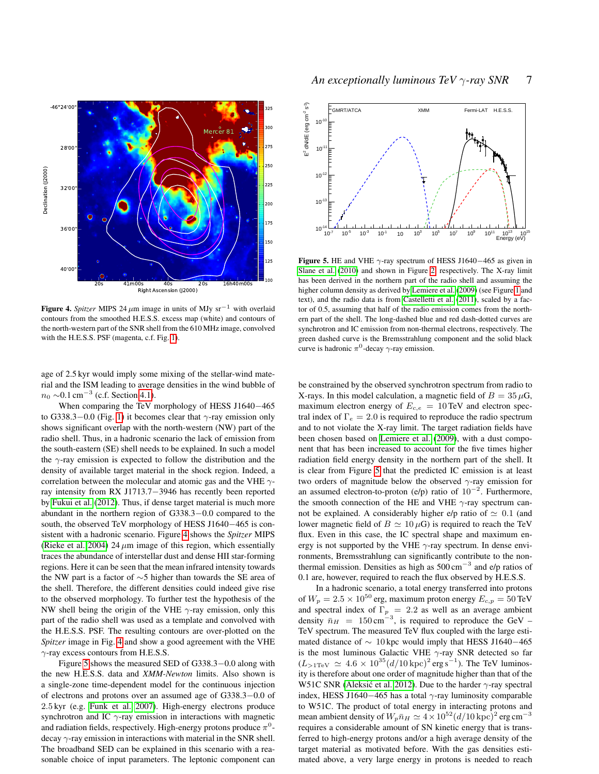

<span id="page-6-0"></span>Figure 4. *Spitzer* MIPS 24  $\mu$ m image in units of MJy sr<sup>−1</sup> with overlaid contours from the smoothed H.E.S.S. excess map (white) and contours of the north-western part of the SNR shell from the 610 MHz image, convolved with the H.E.S.S. PSF (magenta, c.f. Fig. [1\)](#page-2-1).

age of 2.5 kyr would imply some mixing of the stellar-wind material and the ISM leading to average densities in the wind bubble of  $n_0 \sim 0.1 \text{ cm}^{-3}$  (c.f. Section [4.1\)](#page-3-2).

When comparing the TeV morphology of HESS J1640−465 to G338.3–0.0 (Fig. [1\)](#page-2-1) it becomes clear that  $\gamma$ -ray emission only shows significant overlap with the north-western (NW) part of the radio shell. Thus, in a hadronic scenario the lack of emission from the south-eastern (SE) shell needs to be explained. In such a model the  $\gamma$ -ray emission is expected to follow the distribution and the density of available target material in the shock region. Indeed, a correlation between the molecular and atomic gas and the VHE  $\gamma$ ray intensity from RX J1713.7−3946 has recently been reported by [Fukui et al.](#page-7-30) [\(2012\)](#page-7-30). Thus, if dense target material is much more abundant in the northern region of G338.3−0.0 compared to the south, the observed TeV morphology of HESS J1640−465 is consistent with a hadronic scenario. Figure [4](#page-6-0) shows the *Spitzer* MIPS [\(Rieke et al. 2004\)](#page-8-20) 24  $\mu$ m image of this region, which essentially traces the abundance of interstellar dust and dense HII star-forming regions. Here it can be seen that the mean infrared intensity towards the NW part is a factor of ∼5 higher than towards the SE area of the shell. Therefore, the different densities could indeed give rise to the observed morphology. To further test the hypothesis of the NW shell being the origin of the VHE  $\gamma$ -ray emission, only this part of the radio shell was used as a template and convolved with the H.E.S.S. PSF. The resulting contours are over-plotted on the *Spitzer* image in Fig. [4](#page-6-0) and show a good agreement with the VHE  $\gamma$ -ray excess contours from H.E.S.S.

Figure [5](#page-6-1) shows the measured SED of G338.3−0.0 along with the new H.E.S.S. data and *XMM-Newton* limits. Also shown is a single-zone time-dependent model for the continuous injection of electrons and protons over an assumed age of G338.3−0.0 of 2.5 kyr (e.g. [Funk et al. 2007\)](#page-7-3). High-energy electrons produce synchrotron and IC  $\gamma$ -ray emission in interactions with magnetic and radiation fields, respectively. High-energy protons produce  $\pi^0$ decay  $\gamma$ -ray emission in interactions with material in the SNR shell. The broadband SED can be explained in this scenario with a reasonable choice of input parameters. The leptonic component can



<span id="page-6-1"></span>Figure 5. HE and VHE  $\gamma$ -ray spectrum of HESS J1640–465 as given in [Slane et al.](#page-8-1) [\(2010\)](#page-8-1) and shown in Figure [2,](#page-2-2) respectively. The X-ray limit has been derived in the northern part of the radio shell and assuming the higher column density as derived by [Lemiere et al.](#page-7-4) [\(2009\)](#page-7-4) (see Figure [1](#page-2-1) and text), and the radio data is from [Castelletti et al.](#page-7-5) [\(2011\)](#page-7-5), scaled by a factor of 0.5, assuming that half of the radio emission comes from the northern part of the shell. The long-dashed blue and red dash-dotted curves are synchrotron and IC emission from non-thermal electrons, respectively. The green dashed curve is the Bremsstrahlung component and the solid black curve is hadronic  $\pi^0$ -decay  $\gamma$ -ray emission.

be constrained by the observed synchrotron spectrum from radio to X-rays. In this model calculation, a magnetic field of  $B = 35 \,\mu\text{G}$ , maximum electron energy of  $E_{c,e} = 10 \text{ TeV}$  and electron spectral index of  $\Gamma_e = 2.0$  is required to reproduce the radio spectrum and to not violate the X-ray limit. The target radiation fields have been chosen based on [Lemiere et al.](#page-7-4) [\(2009\)](#page-7-4), with a dust component that has been increased to account for the five times higher radiation field energy density in the northern part of the shell. It is clear from Figure [5](#page-6-1) that the predicted IC emission is at least two orders of magnitude below the observed  $\gamma$ -ray emission for an assumed electron-to-proton (e/p) ratio of  $10^{-2}$ . Furthermore, the smooth connection of the HE and VHE  $\gamma$ -ray spectrum cannot be explained. A considerably higher e/p ratio of  $\simeq 0.1$  (and lower magnetic field of  $B \simeq 10 \,\mu\text{G}$  is required to reach the TeV flux. Even in this case, the IC spectral shape and maximum energy is not supported by the VHE  $\gamma$ -ray spectrum. In dense environments, Bremsstrahlung can significantly contribute to the nonthermal emission. Densities as high as  $500 \text{ cm}^{-3}$  and e/p ratios of 0.1 are, however, required to reach the flux observed by H.E.S.S.

In a hadronic scenario, a total energy transferred into protons of  $W_p = 2.5 \times 10^{50}$  erg, maximum proton energy  $E_{c,p} = 50$  TeV and spectral index of  $\Gamma_p = 2.2$  as well as an average ambient density  $\bar{n}_H = 150 \text{ cm}^{-3}$ , is required to reproduce the GeV – TeV spectrum. The measured TeV flux coupled with the large estimated distance of  $\sim 10$  kpc would imply that HESS J1640–465 is the most luminous Galactic VHE  $\gamma$ -ray SNR detected so far  $(L_{>1\text{TeV}} \simeq 4.6 \times 10^{35} (d/10 \,\text{kpc})^2 \,\text{erg s}^{-1})$ . The TeV luminosity is therefore about one order of magnitude higher than that of the W51C SNR (Aleksić et al. 2012). Due to the harder  $\gamma$ -ray spectral index, HESS J1640–465 has a total  $\gamma$ -ray luminosity comparable to W51C. The product of total energy in interacting protons and mean ambient density of  $W_p \bar{n}_H \simeq 4 \times 10^{52} (d/10 \, \text{kpc})^2$  erg cm<sup>−3</sup> requires a considerable amount of SN kinetic energy that is transferred to high-energy protons and/or a high average density of the target material as motivated before. With the gas densities estimated above, a very large energy in protons is needed to reach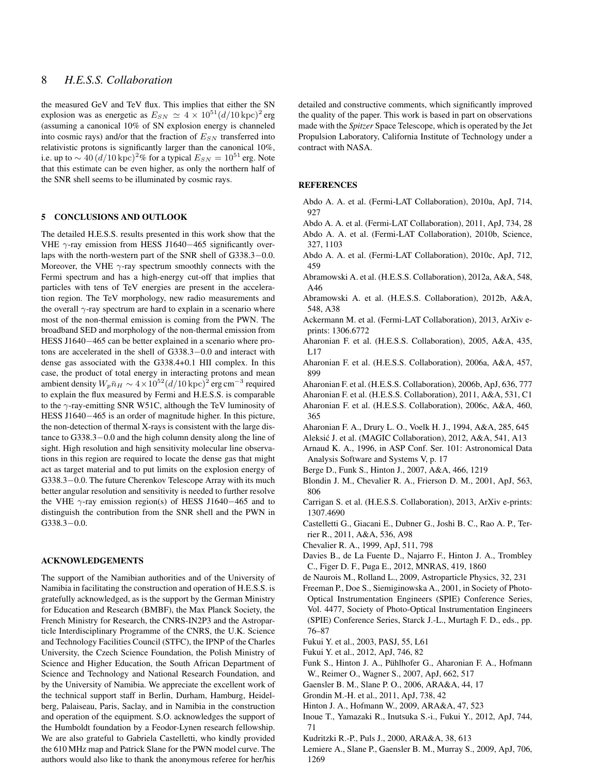# 8 *H.E.S.S. Collaboration*

the measured GeV and TeV flux. This implies that either the SN explosion was as energetic as  $E_{SN} \simeq 4 \times 10^{51} (d/10 \,\text{kpc})^2$  erg (assuming a canonical 10% of SN explosion energy is channeled into cosmic rays) and/or that the fraction of  $E_{SN}$  transferred into relativistic protons is significantly larger than the canonical 10%, i.e. up to  $\sim 40 \, (d/10 \, \text{kpc})^2$ % for a typical  $E_{SN} = 10^{51}$  erg. Note that this estimate can be even higher, as only the northern half of the SNR shell seems to be illuminated by cosmic rays.

# 5 CONCLUSIONS AND OUTLOOK

The detailed H.E.S.S. results presented in this work show that the VHE  $γ$ -ray emission from HESS J1640−465 significantly overlaps with the north-western part of the SNR shell of G338.3−0.0. Moreover, the VHE  $\gamma$ -ray spectrum smoothly connects with the Fermi spectrum and has a high-energy cut-off that implies that particles with tens of TeV energies are present in the acceleration region. The TeV morphology, new radio measurements and the overall  $\gamma$ -ray spectrum are hard to explain in a scenario where most of the non-thermal emission is coming from the PWN. The broadband SED and morphology of the non-thermal emission from HESS J1640−465 can be better explained in a scenario where protons are accelerated in the shell of G338.3−0.0 and interact with dense gas associated with the G338.4+0.1 HII complex. In this case, the product of total energy in interacting protons and mean ambient density  $W_p \bar{n}_H \sim 4 \times 10^{52} (d/10\,{\rm kpc})^2$  erg cm $^{-3}$  required to explain the flux measured by Fermi and H.E.S.S. is comparable to the  $\gamma$ -ray-emitting SNR W51C, although the TeV luminosity of HESS J1640−465 is an order of magnitude higher. In this picture, the non-detection of thermal X-rays is consistent with the large distance to G338.3−0.0 and the high column density along the line of sight. High resolution and high sensitivity molecular line observations in this region are required to locate the dense gas that might act as target material and to put limits on the explosion energy of G338.3−0.0. The future Cherenkov Telescope Array with its much better angular resolution and sensitivity is needed to further resolve the VHE  $\gamma$ -ray emission region(s) of HESS J1640–465 and to distinguish the contribution from the SNR shell and the PWN in G338.3−0.0.

# ACKNOWLEDGEMENTS

The support of the Namibian authorities and of the University of Namibia in facilitating the construction and operation of H.E.S.S. is gratefully acknowledged, as is the support by the German Ministry for Education and Research (BMBF), the Max Planck Society, the French Ministry for Research, the CNRS-IN2P3 and the Astroparticle Interdisciplinary Programme of the CNRS, the U.K. Science and Technology Facilities Council (STFC), the IPNP of the Charles University, the Czech Science Foundation, the Polish Ministry of Science and Higher Education, the South African Department of Science and Technology and National Research Foundation, and by the University of Namibia. We appreciate the excellent work of the technical support staff in Berlin, Durham, Hamburg, Heidelberg, Palaiseau, Paris, Saclay, and in Namibia in the construction and operation of the equipment. S.O. acknowledges the support of the Humboldt foundation by a Feodor-Lynen research fellowship. We are also grateful to Gabriela Castelletti, who kindly provided the 610 MHz map and Patrick Slane for the PWN model curve. The authors would also like to thank the anonymous referee for her/his detailed and constructive comments, which significantly improved the quality of the paper. This work is based in part on observations made with the *Spitzer* Space Telescope, which is operated by the Jet Propulsion Laboratory, California Institute of Technology under a contract with NASA.

#### REFERENCES

- <span id="page-7-21"></span>Abdo A. A. et al. (Fermi-LAT Collaboration), 2010a, ApJ, 714, 927
- <span id="page-7-28"></span><span id="page-7-13"></span>Abdo A. A. et al. (Fermi-LAT Collaboration), 2011, ApJ, 734, 28 Abdo A. A. et al. (Fermi-LAT Collaboration), 2010b, Science, 327, 1103
- <span id="page-7-27"></span>Abdo A. A. et al. (Fermi-LAT Collaboration), 2010c, ApJ, 712, 459
- <span id="page-7-12"></span>Abramowski A. et al. (H.E.S.S. Collaboration), 2012a, A&A, 548, A46
- <span id="page-7-23"></span>Abramowski A. et al. (H.E.S.S. Collaboration), 2012b, A&A, 548, A38
- <span id="page-7-15"></span>Ackermann M. et al. (Fermi-LAT Collaboration), 2013, ArXiv eprints: 1306.6772
- <span id="page-7-22"></span>Aharonian F. et al. (H.E.S.S. Collaboration), 2005, A&A, 435, L17
- <span id="page-7-7"></span>Aharonian F. et al. (H.E.S.S. Collaboration), 2006a, A&A, 457, 899
- <span id="page-7-0"></span>Aharonian F. et al. (H.E.S.S. Collaboration), 2006b, ApJ, 636, 777
- <span id="page-7-14"></span>Aharonian F. et al. (H.E.S.S. Collaboration), 2011, A&A, 531, C1
- <span id="page-7-11"></span>Aharonian F. et al. (H.E.S.S. Collaboration), 2006c, A&A, 460, 365
- <span id="page-7-31"></span><span id="page-7-26"></span>Aharonian F. A., Drury L. O., Voelk H. J., 1994, A&A, 285, 645
- Aleksic J. et al. (MAGIC Collaboration), 2012, A&A, 541, A13 ´
- <span id="page-7-16"></span>Arnaud K. A., 1996, in ASP Conf. Ser. 101: Astronomical Data Analysis Software and Systems V, p. 17
- <span id="page-7-9"></span>Berge D., Funk S., Hinton J., 2007, A&A, 466, 1219
- <span id="page-7-24"></span>Blondin J. M., Chevalier R. A., Frierson D. M., 2001, ApJ, 563, 806
- <span id="page-7-1"></span>Carrigan S. et al. (H.E.S.S. Collaboration), 2013, ArXiv e-prints: 1307.4690
- <span id="page-7-5"></span>Castelletti G., Giacani E., Dubner G., Joshi B. C., Rao A. P., Terrier R., 2011, A&A, 536, A98
- <span id="page-7-17"></span>Chevalier R. A., 1999, ApJ, 511, 798
- <span id="page-7-6"></span>Davies B., de La Fuente D., Najarro F., Hinton J. A., Trombley C., Figer D. F., Puga E., 2012, MNRAS, 419, 1860
- <span id="page-7-8"></span>de Naurois M., Rolland L., 2009, Astroparticle Physics, 32, 231
- <span id="page-7-10"></span>Freeman P., Doe S., Siemiginowska A., 2001, in Society of Photo-Optical Instrumentation Engineers (SPIE) Conference Series, Vol. 4477, Society of Photo-Optical Instrumentation Engineers (SPIE) Conference Series, Starck J.-L., Murtagh F. D., eds., pp. 76–87
- <span id="page-7-18"></span>Fukui Y. et al., 2003, PASJ, 55, L61
- <span id="page-7-30"></span>Fukui Y. et al., 2012, ApJ, 746, 82
- <span id="page-7-3"></span>Funk S., Hinton J. A., Pühlhofer G., Aharonian F. A., Hofmann W., Reimer O., Wagner S., 2007, ApJ, 662, 517
- <span id="page-7-25"></span>Gaensler B. M., Slane P. O., 2006, ARA&A, 44, 17
- <span id="page-7-20"></span>Grondin M.-H. et al., 2011, ApJ, 738, 42
- <span id="page-7-2"></span>Hinton J. A., Hofmann W., 2009, ARA&A, 47, 523
- <span id="page-7-29"></span>Inoue T., Yamazaki R., Inutsuka S.-i., Fukui Y., 2012, ApJ, 744, 71
- <span id="page-7-19"></span>Kudritzki R.-P., Puls J., 2000, ARA&A, 38, 613
- <span id="page-7-4"></span>Lemiere A., Slane P., Gaensler B. M., Murray S., 2009, ApJ, 706, 1269